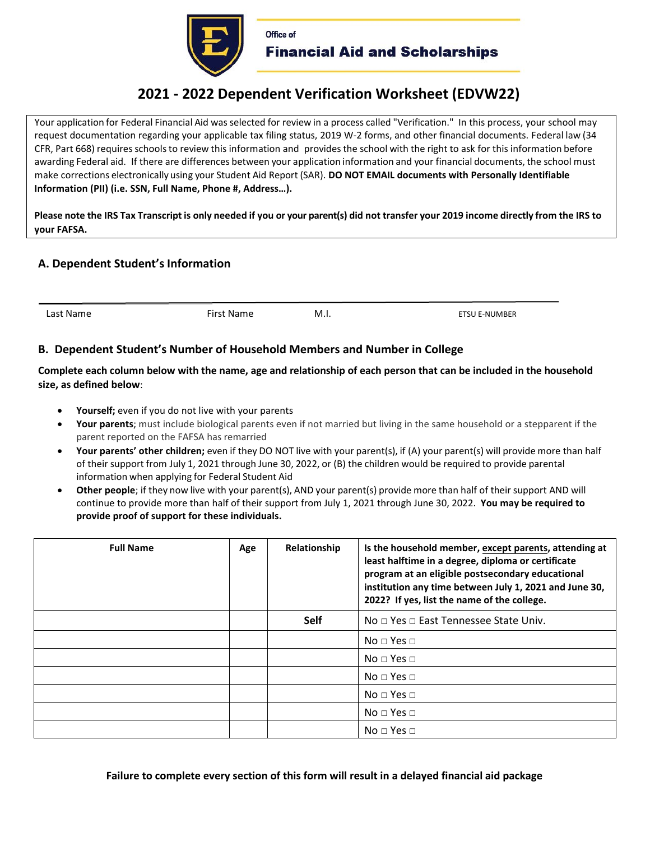

# **2021 - 2022 Dependent Verification Worksheet (EDVW22)**

Your application for Federal Financial Aid was selected for review in a process called "Verification." In this process, your school may request documentation regarding your applicable tax filing status, 2019 W-2 forms, and other financial documents. Federal law (34 CFR, Part 668) requires schools to review this information and provides the school with the right to ask for this information before awarding Federal aid. If there are differences between your application information and your financial documents, the school must make corrections electronically using your Student Aid Report (SAR). **DO NOT EMAIL documents with Personally Identifiable Information (PII) (i.e. SSN, Full Name, Phone #, Address…).** 

**Please note the IRS Tax Transcript is only needed if you or your parent(s) did not transfer your 2019 income directly from the IRS to your FAFSA.** 

# **A. Dependent Student's Information**

First Name **M.I.** M.I. **ETSU E-NUMBER** 

## **B. Dependent Student's Number of Household Members and Number in College**

**Complete each column below with the name, age and relationship of each person that can be included in the household size, as defined below**:

- Yourself; even if you do not live with your parents
- **Your parents**; must include biological parents even if not married but living in the same household or a stepparent if the parent reported on the FAFSA has remarried
- **Your parents' other children;** even if they DO NOT live with your parent(s), if (A) your parent(s) will provide more than half of their support from July 1, 2021 through June 30, 2022, or (B) the children would be required to provide parental information when applying for Federal Student Aid
- **Other people**; if they now live with your parent(s), AND your parent(s) provide more than half of their support AND will continue to provide more than half of their support from July 1, 2021 through June 30, 2022. **You may be required to provide proof of support for these individuals.**

| <b>Full Name</b> | Age | Relationship | Is the household member, except parents, attending at<br>least halftime in a degree, diploma or certificate<br>program at an eligible postsecondary educational<br>institution any time between July 1, 2021 and June 30,<br>2022? If yes, list the name of the college. |
|------------------|-----|--------------|--------------------------------------------------------------------------------------------------------------------------------------------------------------------------------------------------------------------------------------------------------------------------|
|                  |     | <b>Self</b>  | No $\sqcap$ Yes $\sqcap$ East Tennessee State Univ.                                                                                                                                                                                                                      |
|                  |     |              | No $\sqcap$ Yes $\sqcap$                                                                                                                                                                                                                                                 |
|                  |     |              | $No \square Yes \square$                                                                                                                                                                                                                                                 |
|                  |     |              | $No \square Yes \square$                                                                                                                                                                                                                                                 |
|                  |     |              | $No \square Yes \square$                                                                                                                                                                                                                                                 |
|                  |     |              | $No \square Yes \square$                                                                                                                                                                                                                                                 |
|                  |     |              | $No \square Yes \square$                                                                                                                                                                                                                                                 |

**Failure to complete every section of this form will result in a delayed financial aid package**